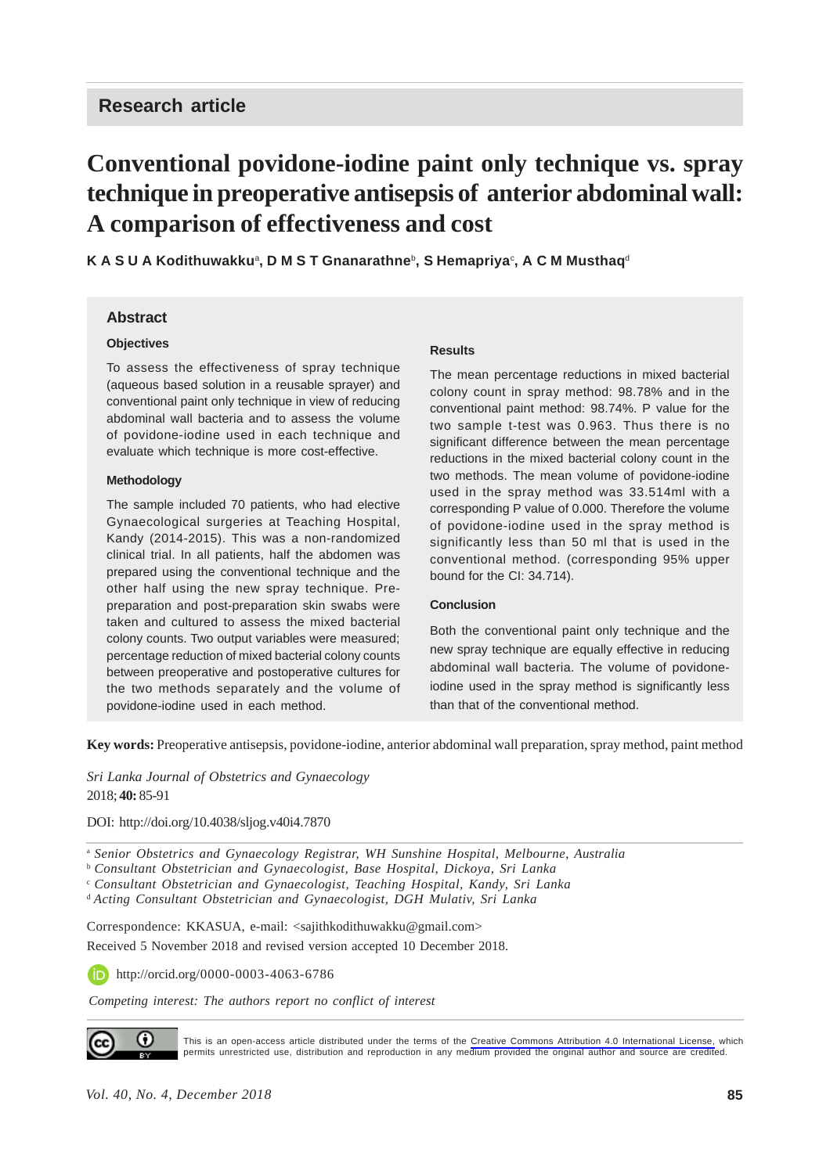# **Conventional povidone-iodine paint only technique vs. spray technique in preoperative antisepsis of anterior abdominal wall: A comparison of effectiveness and cost**

**K A S U A Kodithuwakku**<sup>a</sup> **, D M S T Gnanarathne**<sup>b</sup> **, S Hemapriya**<sup>c</sup> **, A C M Musthaq**<sup>d</sup>

#### **Abstract**

#### **Objectives**

To assess the effectiveness of spray technique (aqueous based solution in a reusable sprayer) and conventional paint only technique in view of reducing abdominal wall bacteria and to assess the volume of povidone-iodine used in each technique and evaluate which technique is more cost-effective.

#### **Methodology**

The sample included 70 patients, who had elective Gynaecological surgeries at Teaching Hospital, Kandy (2014-2015). This was a non-randomized clinical trial. In all patients, half the abdomen was prepared using the conventional technique and the other half using the new spray technique. Prepreparation and post-preparation skin swabs were taken and cultured to assess the mixed bacterial colony counts. Two output variables were measured; percentage reduction of mixed bacterial colony counts between preoperative and postoperative cultures for the two methods separately and the volume of povidone-iodine used in each method.

#### **Results**

The mean percentage reductions in mixed bacterial colony count in spray method: 98.78% and in the conventional paint method: 98.74%. P value for the two sample t-test was 0.963. Thus there is no significant difference between the mean percentage reductions in the mixed bacterial colony count in the two methods. The mean volume of povidone-iodine used in the spray method was 33.514ml with a corresponding P value of 0.000. Therefore the volume of povidone-iodine used in the spray method is significantly less than 50 ml that is used in the conventional method. (corresponding 95% upper bound for the CI: 34.714).

#### **Conclusion**

Both the conventional paint only technique and the new spray technique are equally effective in reducing abdominal wall bacteria. The volume of povidoneiodine used in the spray method is significantly less than that of the conventional method.

**Key words:** Preoperative antisepsis, povidone-iodine, anterior abdominal wall preparation, spray method, paint method

#### *Sri Lanka Journal of Obstetrics and Gynaecology* 2018; **40:** 85-91

DOI: http://doi.org/10.4038/sljog.v40i4.7870

<sup>a</sup> *Senior Obstetrics and Gynaecology Registrar, WH Sunshine Hospital, Melbourne, Australia*

<sup>b</sup> *Consultant Obstetrician and Gynaecologist, Base Hospital, Dickoya, Sri Lanka*

<sup>c</sup> *Consultant Obstetrician and Gynaecologist, Teaching Hospital, Kandy, Sri Lanka*

<sup>d</sup>*Acting Consultant Obstetrician and Gynaecologist, DGH Mulativ, Sri Lanka*

Correspondence: KKASUA, e-mail: <sajithkodithuwakku@gmail.com>

Received 5 November 2018 and revised version accepted 10 December 2018.

http://orcid.org/0000-0003-4063-6786

*Competing interest: The authors report no conflict of interest*



This is an open-access article distributed under the terms of the [Creative Commons Attribution 4.0 International License,](https://creativecommons.org/licenses/by/4.0/) which permits unrestricted use, distribution and reproduction in any medium provided the original author and source are credited.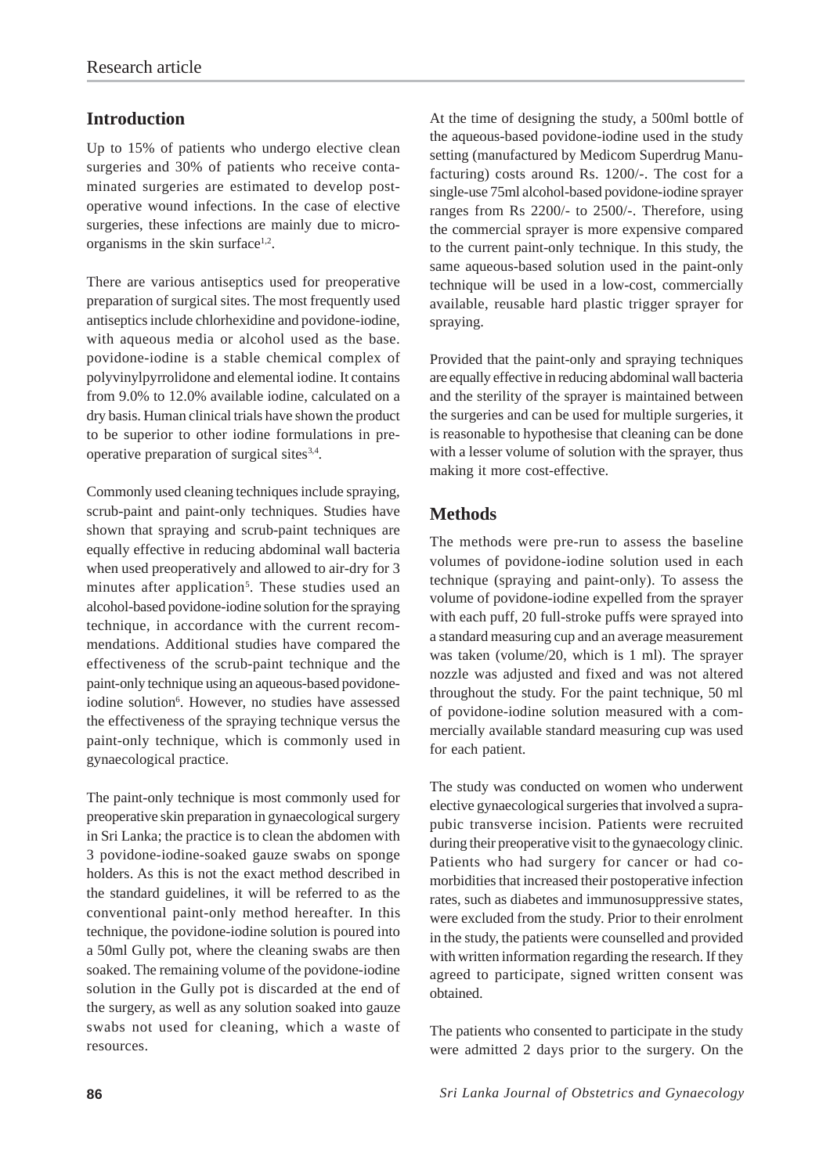# **Introduction**

Up to 15% of patients who undergo elective clean surgeries and 30% of patients who receive contaminated surgeries are estimated to develop postoperative wound infections. In the case of elective surgeries, these infections are mainly due to microorganisms in the skin surface $1,2$ .

There are various antiseptics used for preoperative preparation of surgical sites. The most frequently used antiseptics include chlorhexidine and povidone-iodine, with aqueous media or alcohol used as the base. povidone-iodine is a stable chemical complex of polyvinylpyrrolidone and elemental iodine. It contains from 9.0% to 12.0% available iodine, calculated on a dry basis. Human clinical trials have shown the product to be superior to other iodine formulations in preoperative preparation of surgical sites $3,4$ .

Commonly used cleaning techniques include spraying, scrub-paint and paint-only techniques. Studies have shown that spraying and scrub-paint techniques are equally effective in reducing abdominal wall bacteria when used preoperatively and allowed to air-dry for 3 minutes after application<sup>5</sup>. These studies used an alcohol-based povidone-iodine solution for the spraying technique, in accordance with the current recommendations. Additional studies have compared the effectiveness of the scrub-paint technique and the paint-only technique using an aqueous-based povidoneiodine solution<sup>6</sup>. However, no studies have assessed the effectiveness of the spraying technique versus the paint-only technique, which is commonly used in gynaecological practice.

The paint-only technique is most commonly used for preoperative skin preparation in gynaecological surgery in Sri Lanka; the practice is to clean the abdomen with 3 povidone-iodine-soaked gauze swabs on sponge holders. As this is not the exact method described in the standard guidelines, it will be referred to as the conventional paint-only method hereafter. In this technique, the povidone-iodine solution is poured into a 50ml Gully pot, where the cleaning swabs are then soaked. The remaining volume of the povidone-iodine solution in the Gully pot is discarded at the end of the surgery, as well as any solution soaked into gauze swabs not used for cleaning, which a waste of resources.

At the time of designing the study, a 500ml bottle of the aqueous-based povidone-iodine used in the study setting (manufactured by Medicom Superdrug Manufacturing) costs around Rs. 1200/-. The cost for a single-use 75ml alcohol-based povidone-iodine sprayer ranges from Rs 2200/- to 2500/-. Therefore, using the commercial sprayer is more expensive compared to the current paint-only technique. In this study, the same aqueous-based solution used in the paint-only technique will be used in a low-cost, commercially available, reusable hard plastic trigger sprayer for spraying.

Provided that the paint-only and spraying techniques are equally effective in reducing abdominal wall bacteria and the sterility of the sprayer is maintained between the surgeries and can be used for multiple surgeries, it is reasonable to hypothesise that cleaning can be done with a lesser volume of solution with the sprayer, thus making it more cost-effective.

## **Methods**

The methods were pre-run to assess the baseline volumes of povidone-iodine solution used in each technique (spraying and paint-only). To assess the volume of povidone-iodine expelled from the sprayer with each puff, 20 full-stroke puffs were sprayed into a standard measuring cup and an average measurement was taken (volume/20, which is 1 ml). The sprayer nozzle was adjusted and fixed and was not altered throughout the study. For the paint technique, 50 ml of povidone-iodine solution measured with a commercially available standard measuring cup was used for each patient.

The study was conducted on women who underwent elective gynaecological surgeries that involved a suprapubic transverse incision. Patients were recruited during their preoperative visit to the gynaecology clinic. Patients who had surgery for cancer or had comorbidities that increased their postoperative infection rates, such as diabetes and immunosuppressive states, were excluded from the study. Prior to their enrolment in the study, the patients were counselled and provided with written information regarding the research. If they agreed to participate, signed written consent was obtained.

The patients who consented to participate in the study were admitted 2 days prior to the surgery. On the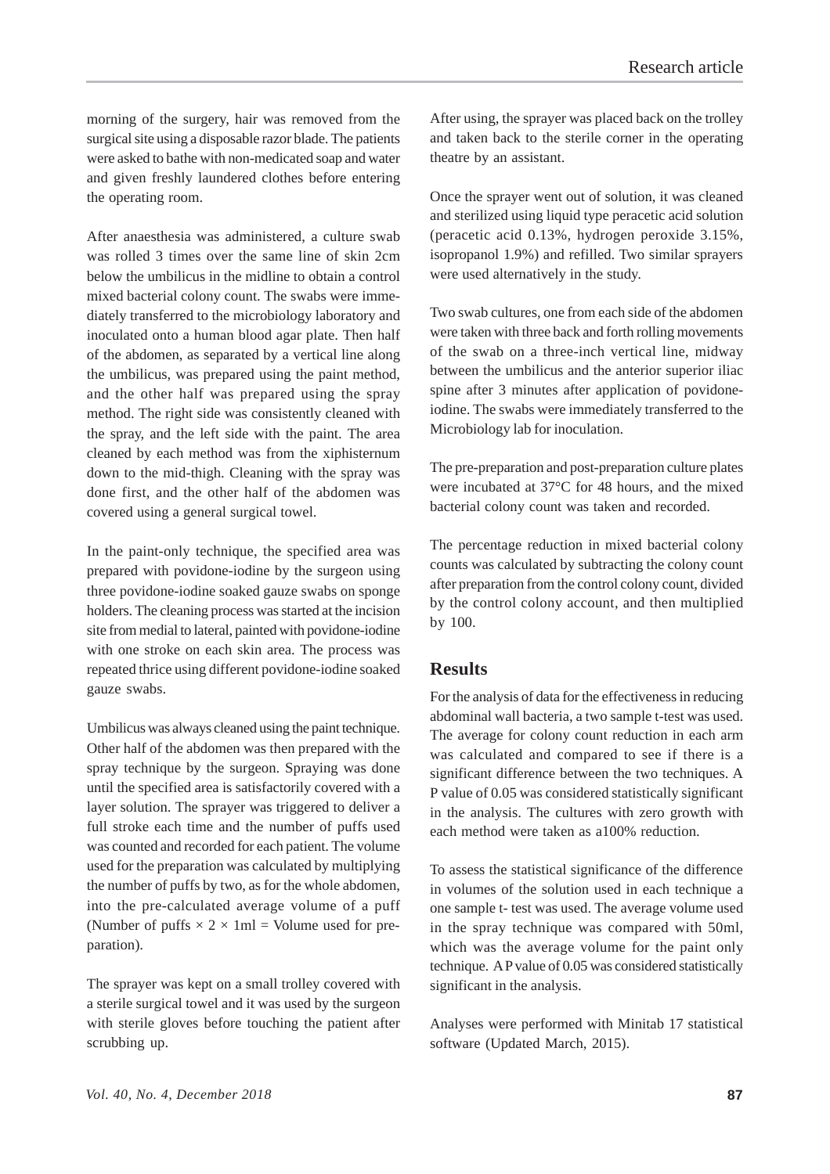morning of the surgery, hair was removed from the surgical site using a disposable razor blade. The patients were asked to bathe with non-medicated soap and water and given freshly laundered clothes before entering the operating room.

After anaesthesia was administered, a culture swab was rolled 3 times over the same line of skin 2cm below the umbilicus in the midline to obtain a control mixed bacterial colony count. The swabs were immediately transferred to the microbiology laboratory and inoculated onto a human blood agar plate. Then half of the abdomen, as separated by a vertical line along the umbilicus, was prepared using the paint method, and the other half was prepared using the spray method. The right side was consistently cleaned with the spray, and the left side with the paint. The area cleaned by each method was from the xiphisternum down to the mid-thigh. Cleaning with the spray was done first, and the other half of the abdomen was covered using a general surgical towel.

In the paint-only technique, the specified area was prepared with povidone-iodine by the surgeon using three povidone-iodine soaked gauze swabs on sponge holders. The cleaning process was started at the incision site from medial to lateral, painted with povidone-iodine with one stroke on each skin area. The process was repeated thrice using different povidone-iodine soaked gauze swabs.

Umbilicus was always cleaned using the paint technique. Other half of the abdomen was then prepared with the spray technique by the surgeon. Spraying was done until the specified area is satisfactorily covered with a layer solution. The sprayer was triggered to deliver a full stroke each time and the number of puffs used was counted and recorded for each patient. The volume used for the preparation was calculated by multiplying the number of puffs by two, as for the whole abdomen, into the pre-calculated average volume of a puff (Number of puffs  $\times$  2  $\times$  1ml = Volume used for preparation).

The sprayer was kept on a small trolley covered with a sterile surgical towel and it was used by the surgeon with sterile gloves before touching the patient after scrubbing up.

After using, the sprayer was placed back on the trolley and taken back to the sterile corner in the operating theatre by an assistant.

Once the sprayer went out of solution, it was cleaned and sterilized using liquid type peracetic acid solution (peracetic acid 0.13%, hydrogen peroxide 3.15%, isopropanol 1.9%) and refilled. Two similar sprayers were used alternatively in the study.

Two swab cultures, one from each side of the abdomen were taken with three back and forth rolling movements of the swab on a three-inch vertical line, midway between the umbilicus and the anterior superior iliac spine after 3 minutes after application of povidoneiodine. The swabs were immediately transferred to the Microbiology lab for inoculation.

The pre-preparation and post-preparation culture plates were incubated at 37°C for 48 hours, and the mixed bacterial colony count was taken and recorded.

The percentage reduction in mixed bacterial colony counts was calculated by subtracting the colony count after preparation from the control colony count, divided by the control colony account, and then multiplied by 100.

## **Results**

For the analysis of data for the effectiveness in reducing abdominal wall bacteria, a two sample t-test was used. The average for colony count reduction in each arm was calculated and compared to see if there is a significant difference between the two techniques. A P value of 0.05 was considered statistically significant in the analysis. The cultures with zero growth with each method were taken as a100% reduction.

To assess the statistical significance of the difference in volumes of the solution used in each technique a one sample t- test was used. The average volume used in the spray technique was compared with 50ml, which was the average volume for the paint only technique. A P value of 0.05 was considered statistically significant in the analysis.

Analyses were performed with Minitab 17 statistical software (Updated March, 2015).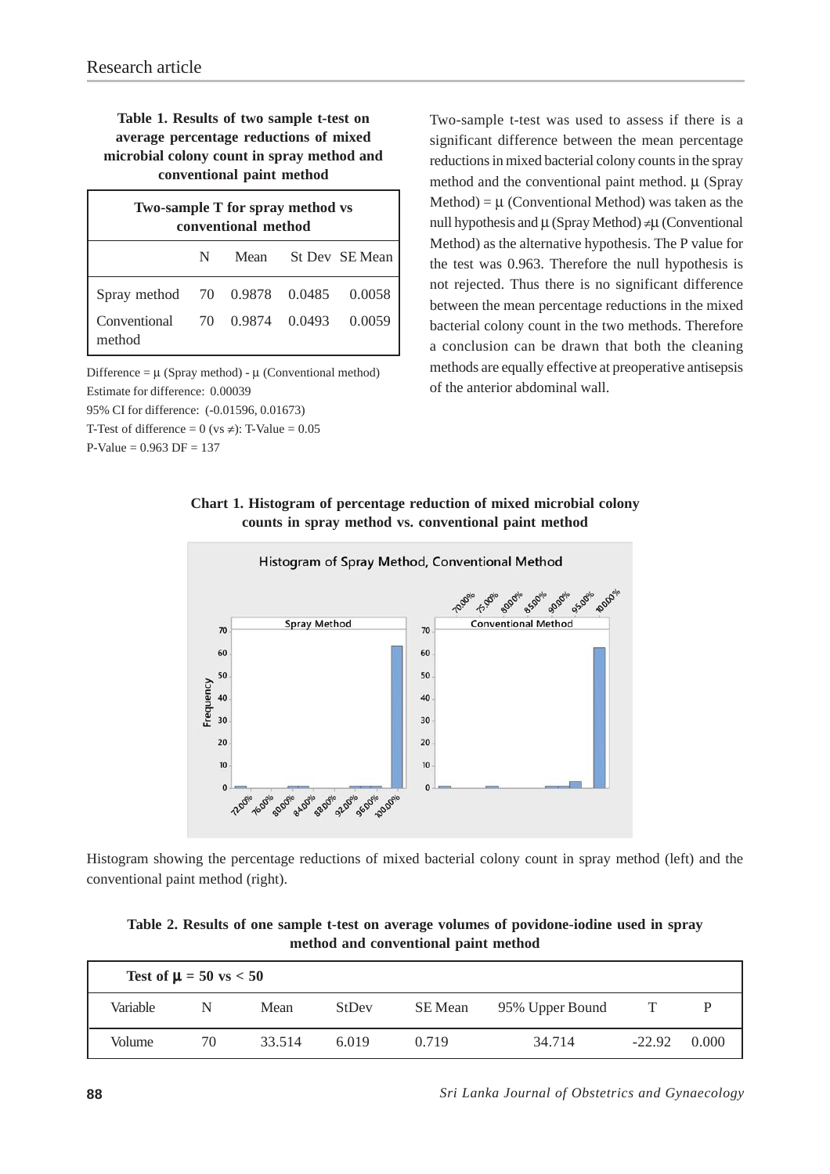## **Table 1. Results of two sample t-test on average percentage reductions of mixed microbial colony count in spray method and conventional paint method**

| Two-sample T for spray method vs<br>conventional method |   |  |  |                     |  |  |  |  |  |
|---------------------------------------------------------|---|--|--|---------------------|--|--|--|--|--|
|                                                         | N |  |  | Mean St Dev SE Mean |  |  |  |  |  |
| Spray method 70 0.9878 0.0485 0.0058                    |   |  |  |                     |  |  |  |  |  |
| Conventional 70 0.9874 0.0493 0.0059<br>method          |   |  |  |                     |  |  |  |  |  |

Difference =  $\mu$  (Spray method) -  $\mu$  (Conventional method) Estimate for difference: 0.00039 95% CI for difference: (-0.01596, 0.01673)

T-Test of difference =  $0$  (vs  $\neq$ ): T-Value = 0.05

 $P-Value = 0.963 DF = 137$ 

Two-sample t-test was used to assess if there is a significant difference between the mean percentage reductions in mixed bacterial colony counts in the spray method and the conventional paint method. μ (Spray Method) =  $\mu$  (Conventional Method) was taken as the null hypothesis and μ (Spray Method) ≠μ (Conventional Method) as the alternative hypothesis. The P value for the test was 0.963. Therefore the null hypothesis is not rejected. Thus there is no significant difference between the mean percentage reductions in the mixed bacterial colony count in the two methods. Therefore a conclusion can be drawn that both the cleaning methods are equally effective at preoperative antisepsis of the anterior abdominal wall.

### **Chart 1. Histogram of percentage reduction of mixed microbial colony counts in spray method vs. conventional paint method**



Histogram showing the percentage reductions of mixed bacterial colony count in spray method (left) and the conventional paint method (right).

**Table 2. Results of one sample t-test on average volumes of povidone-iodine used in spray method and conventional paint method**

| Test of $\mu = 50$ vs $< 50$ |    |        |       |         |                 |          |       |  |  |  |
|------------------------------|----|--------|-------|---------|-----------------|----------|-------|--|--|--|
| Variable                     | N  | Mean   | StDev | SE Mean | 95% Upper Bound |          |       |  |  |  |
| Volume                       | 70 | 33.514 | 6.019 | 0.719   | 34.714          | $-22.92$ | 0.000 |  |  |  |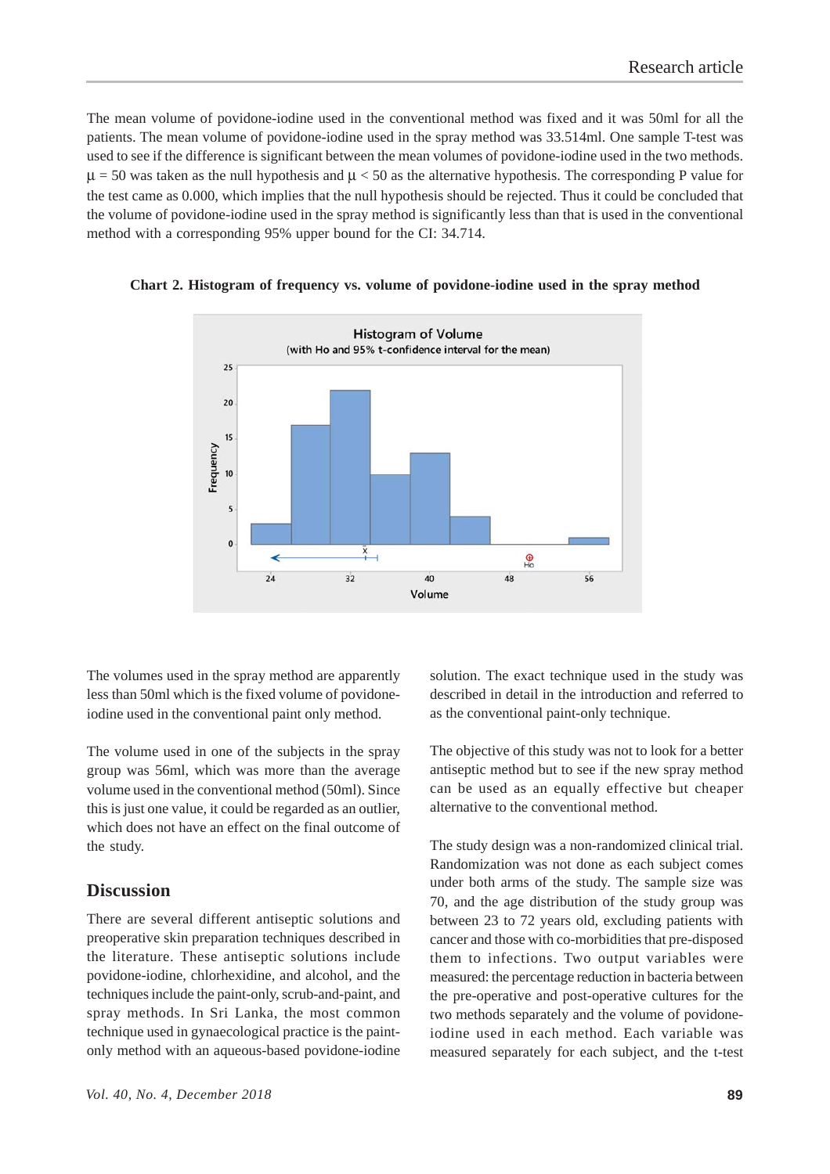The mean volume of povidone-iodine used in the conventional method was fixed and it was 50ml for all the patients. The mean volume of povidone-iodine used in the spray method was 33.514ml. One sample T-test was used to see if the difference is significant between the mean volumes of povidone-iodine used in the two methods.  $\mu$  = 50 was taken as the null hypothesis and  $\mu$  < 50 as the alternative hypothesis. The corresponding P value for the test came as 0.000, which implies that the null hypothesis should be rejected. Thus it could be concluded that the volume of povidone-iodine used in the spray method is significantly less than that is used in the conventional method with a corresponding 95% upper bound for the CI: 34.714.



**Chart 2. Histogram of frequency vs. volume of povidone-iodine used in the spray method**

The volumes used in the spray method are apparently less than 50ml which is the fixed volume of povidoneiodine used in the conventional paint only method.

The volume used in one of the subjects in the spray group was 56ml, which was more than the average volume used in the conventional method (50ml). Since this is just one value, it could be regarded as an outlier, which does not have an effect on the final outcome of the study.

#### **Discussion**

There are several different antiseptic solutions and preoperative skin preparation techniques described in the literature. These antiseptic solutions include povidone-iodine, chlorhexidine, and alcohol, and the techniques include the paint-only, scrub-and-paint, and spray methods. In Sri Lanka, the most common technique used in gynaecological practice is the paintonly method with an aqueous-based povidone-iodine

solution. The exact technique used in the study was described in detail in the introduction and referred to as the conventional paint-only technique.

The objective of this study was not to look for a better antiseptic method but to see if the new spray method can be used as an equally effective but cheaper alternative to the conventional method.

The study design was a non-randomized clinical trial. Randomization was not done as each subject comes under both arms of the study. The sample size was 70, and the age distribution of the study group was between 23 to 72 years old, excluding patients with cancer and those with co-morbidities that pre-disposed them to infections. Two output variables were measured: the percentage reduction in bacteria between the pre-operative and post-operative cultures for the two methods separately and the volume of povidoneiodine used in each method. Each variable was measured separately for each subject, and the t-test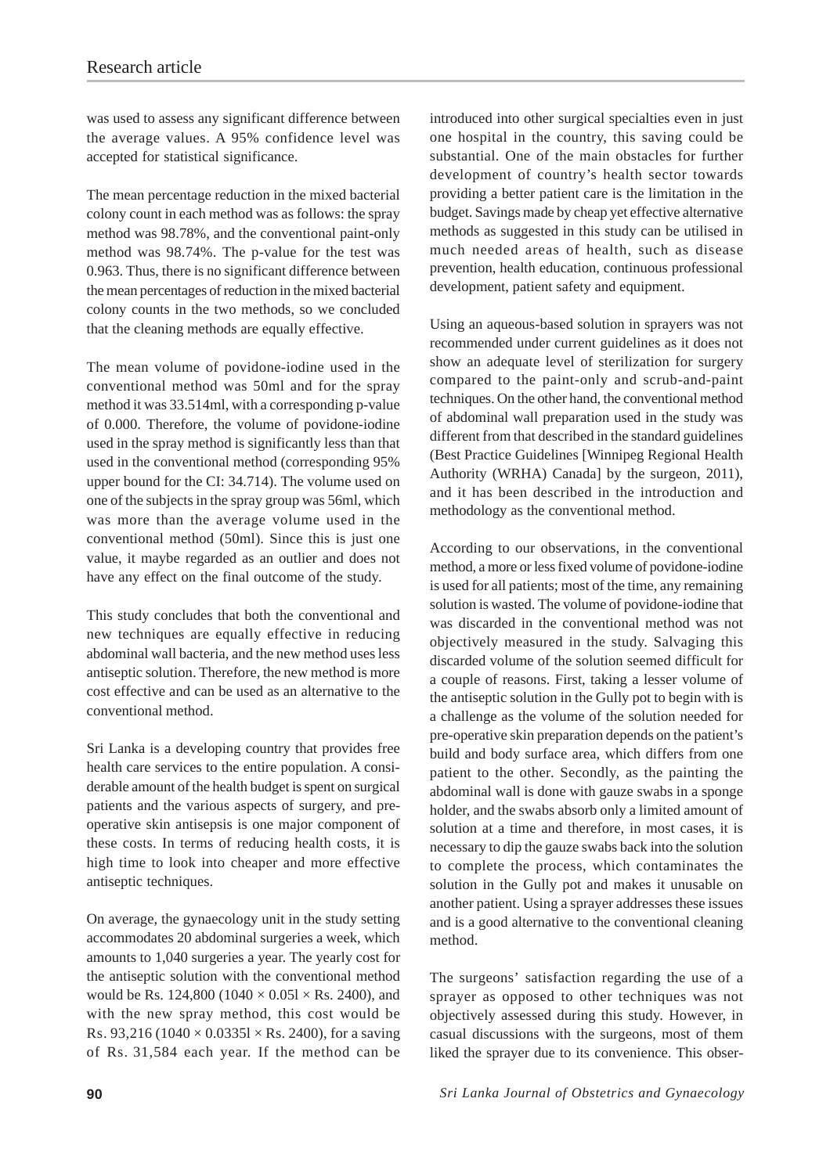was used to assess any significant difference between the average values. A 95% confidence level was accepted for statistical significance.

The mean percentage reduction in the mixed bacterial colony count in each method was as follows: the spray method was 98.78%, and the conventional paint-only method was 98.74%. The p-value for the test was 0.963. Thus, there is no significant difference between the mean percentages of reduction in the mixed bacterial colony counts in the two methods, so we concluded that the cleaning methods are equally effective.

The mean volume of povidone-iodine used in the conventional method was 50ml and for the spray method it was 33.514ml, with a corresponding p-value of 0.000. Therefore, the volume of povidone-iodine used in the spray method is significantly less than that used in the conventional method (corresponding 95% upper bound for the CI: 34.714). The volume used on one of the subjects in the spray group was 56ml, which was more than the average volume used in the conventional method (50ml). Since this is just one value, it maybe regarded as an outlier and does not have any effect on the final outcome of the study.

This study concludes that both the conventional and new techniques are equally effective in reducing abdominal wall bacteria, and the new method uses less antiseptic solution. Therefore, the new method is more cost effective and can be used as an alternative to the conventional method.

Sri Lanka is a developing country that provides free health care services to the entire population. A considerable amount of the health budget is spent on surgical patients and the various aspects of surgery, and preoperative skin antisepsis is one major component of these costs. In terms of reducing health costs, it is high time to look into cheaper and more effective antiseptic techniques.

On average, the gynaecology unit in the study setting accommodates 20 abdominal surgeries a week, which amounts to 1,040 surgeries a year. The yearly cost for the antiseptic solution with the conventional method would be Rs. 124,800 (1040  $\times$  0.051  $\times$  Rs. 2400), and with the new spray method, this cost would be Rs. 93,216 (1040  $\times$  0.03351  $\times$  Rs. 2400), for a saving of Rs. 31,584 each year. If the method can be introduced into other surgical specialties even in just one hospital in the country, this saving could be substantial. One of the main obstacles for further development of country's health sector towards providing a better patient care is the limitation in the budget. Savings made by cheap yet effective alternative methods as suggested in this study can be utilised in much needed areas of health, such as disease prevention, health education, continuous professional development, patient safety and equipment.

Using an aqueous-based solution in sprayers was not recommended under current guidelines as it does not show an adequate level of sterilization for surgery compared to the paint-only and scrub-and-paint techniques. On the other hand, the conventional method of abdominal wall preparation used in the study was different from that described in the standard guidelines (Best Practice Guidelines [Winnipeg Regional Health Authority (WRHA) Canada] by the surgeon, 2011), and it has been described in the introduction and methodology as the conventional method.

According to our observations, in the conventional method, a more or less fixed volume of povidone-iodine is used for all patients; most of the time, any remaining solution is wasted. The volume of povidone-iodine that was discarded in the conventional method was not objectively measured in the study. Salvaging this discarded volume of the solution seemed difficult for a couple of reasons. First, taking a lesser volume of the antiseptic solution in the Gully pot to begin with is a challenge as the volume of the solution needed for pre-operative skin preparation depends on the patient's build and body surface area, which differs from one patient to the other. Secondly, as the painting the abdominal wall is done with gauze swabs in a sponge holder, and the swabs absorb only a limited amount of solution at a time and therefore, in most cases, it is necessary to dip the gauze swabs back into the solution to complete the process, which contaminates the solution in the Gully pot and makes it unusable on another patient. Using a sprayer addresses these issues and is a good alternative to the conventional cleaning method.

The surgeons' satisfaction regarding the use of a sprayer as opposed to other techniques was not objectively assessed during this study. However, in casual discussions with the surgeons, most of them liked the sprayer due to its convenience. This obser